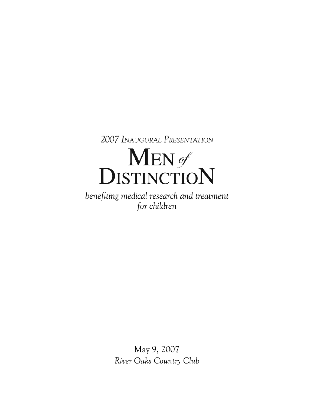2007 INAUGURAL PRESENTATION

# MEN of<br>DISTINCTION

benefiting medical research and treatment for children

> May 9, 2007 *River Oaks Country Club*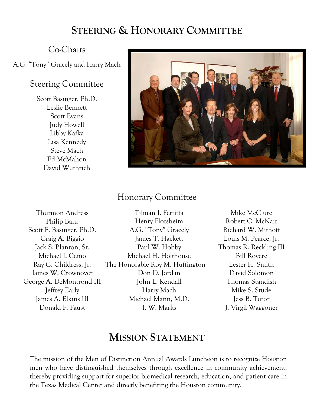# **STEERING & HONORARY COMMITTEE**

#### Co-Chairs

#### A.G. "Tony" Gracely and Harry Mach

#### Steering Committee

Scott Basinger, Ph.D. Leslie Bennett Scott Evans Judy Howell Libby Kafka Lisa Kennedy Steve Mach Ed McMahon David Wuthrich



## Honorary Committee

Thurmon Andress Philip Bahr Scott F. Basinger, Ph.D. Craig A. Biggio Jack S. Blanton, Sr. Michael J. Cemo Ray C. Childress, Jr. James W. Crownover George A. DeMontrond III Jeffrey Early James A. Elkins III Donald F. Faust

Tilman J. Fertitta Henry Florsheim A.G. "Tony" Gracely James T. Hackett Paul W. Hobby Michael H. Holthouse The Honorable Roy M. Huffington Don D. Jordan John L. Kendall Harry Mach Michael Mann, M.D. I. W. Marks

Mike McClure Robert C. McNair Richard W. Mithoff Louis M. Pearce, Jr. Thomas R. Reckling III Bill Rovere Lester H. Smith David Solomon Thomas Standish Mike S. Stude Jess B. Tutor J. Virgil Waggoner

## **MISSION STATEMENT**

The mission of the Men of Distinction Annual Awards Luncheon is to recognize Houston men who have distinguished themselves through excellence in community achievement, thereby providing support for superior biomedical research, education, and patient care in the Texas Medical Center and directly benefiting the Houston community.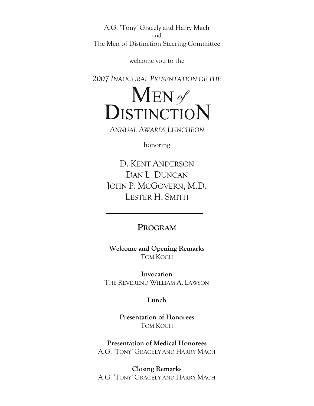A.G. 'Tony' Gracely and Harry Mach and The Men of Distinction Steering Committee

welcome you to the

*2007 INAUGURAL PRESENTATION OF THE*



*ANNUAL AWARDS LUNCHEON*

honoring

D. KENT ANDERSON DAN L. DUNCAN JOHN P. MCGOVERN, M.D. LESTER H. SMITH

#### **PROGRAM**

**Welcome and Opening Remarks**  TOM KOCH

**Invocation**  THE REVEREND WILLIAM A. LAWSON

**Lunch** 

**Presentation of Honorees**  TOM KOCH

**Presentation of Medical Honorees**  A.G. 'TONY' GRACELY AND HARRY MACH

**Closing Remarks**  A.G. 'TONY' GRACELY AND HARRY MACH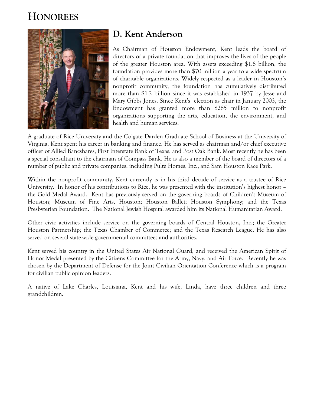# **HONOREES**



## **D. Kent Anderson**

As Chairman of Houston Endowment, Kent leads the board of directors of a private foundation that improves the lives of the people of the greater Houston area. With assets exceeding \$1.6 billion, the foundation provides more than \$70 million a year to a wide spectrum of charitable organizations. Widely respected as a leader in Houston's nonprofit community, the foundation has cumulatively distributed more than \$1.2 billion since it was established in 1937 by Jesse and Mary Gibbs Jones. Since Kent's election as chair in January 2003, the Endowment has granted more than \$285 million to nonprofit organizations supporting the arts, education, the environment, and health and human services.

A graduate of Rice University and the Colgate Darden Graduate School of Business at the University of Virginia, Kent spent his career in banking and finance. He has served as chairman and/or chief executive officer of Allied Bancshares, First Interstate Bank of Texas, and Post Oak Bank. Most recently he has been a special consultant to the chairman of Compass Bank. He is also a member of the board of directors of a number of public and private companies, including Pulte Homes, Inc., and Sam Houston Race Park.

Within the nonprofit community, Kent currently is in his third decade of service as a trustee of Rice University. In honor of his contributions to Rice, he was presented with the institution's highest honor – the Gold Medal Award. Kent has previously served on the governing boards of Children's Museum of Houston; Museum of Fine Arts, Houston; Houston Ballet; Houston Symphony; and the Texas Presbyterian Foundation. The National Jewish Hospital awarded him its National Humanitarian Award.

Other civic activities include service on the governing boards of Central Houston, Inc.; the Greater Houston Partnership; the Texas Chamber of Commerce; and the Texas Research League. He has also served on several state-wide governmental committees and authorities.

Kent served his country in the United States Air National Guard, and received the American Spirit of Honor Medal presented by the Citizens Committee for the Army, Navy, and Air Force. Recently he was chosen by the Department of Defense for the Joint Civilian Orientation Conference which is a program for civilian public opinion leaders.

A native of Lake Charles, Louisiana, Kent and his wife, Linda, have three children and three grandchildren.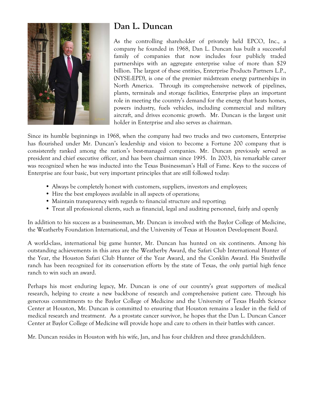

## **Dan L. Duncan**

As the controlling shareholder of privately held EPCO, Inc., a company he founded in 1968, Dan L. Duncan has built a successful family of companies that now includes four publicly traded partnerships with an aggregate enterprise value of more than \$29 billion. The largest of these entities, Enterprise Products Partners L.P., (NYSE:EPD), is one of the premier midstream energy partnerships in North America. Through its comprehensive network of pipelines, plants, terminals and storage facilities, Enterprise plays an important role in meeting the country's demand for the energy that heats homes, powers industry, fuels vehicles, including commercial and military aircraft, and drives economic growth. Mr. Duncan is the largest unit holder in Enterprise and also serves as chairman.

Since its humble beginnings in 1968, when the company had two trucks and two customers, Enterprise has flourished under Mr. Duncan's leadership and vision to become a Fortune 200 company that is consistently ranked among the nation's best-managed companies. Mr. Duncan previously served as president and chief executive officer, and has been chairman since 1995. In 2003, his remarkable career was recognized when he was inducted into the Texas Businessman's Hall of Fame. Keys to the success of Enterprise are four basic, but very important principles that are still followed today:

- Always be completely honest with customers, suppliers, investors and employees;
- Hire the best employees available in all aspects of operations;
- Maintain transparency with regards to financial structure and reporting;
- Treat all professional clients, such as financial, legal and auditing personnel, fairly and openly

In addition to his success as a businessman, Mr. Duncan is involved with the Baylor College of Medicine, the Weatherby Foundation International, and the University of Texas at Houston Development Board.

A world-class, international big game hunter, Mr. Duncan has hunted on six continents. Among his outstanding achievements in this area are the Weatherby Award, the Safari Club International Hunter of the Year, the Houston Safari Club Hunter of the Year Award, and the Conklin Award. His Smithville ranch has been recognized for its conservation efforts by the state of Texas, the only partial high fence ranch to win such an award.

Perhaps his most enduring legacy, Mr. Duncan is one of our country's great supporters of medical research, helping to create a new backbone of research and comprehensive patient care. Through his generous commitments to the Baylor College of Medicine and the University of Texas Health Science Center at Houston, Mr. Duncan is committed to ensuring that Houston remains a leader in the field of medical research and treatment. As a prostate cancer survivor, he hopes that the Dan L. Duncan Cancer Center at Baylor College of Medicine will provide hope and care to others in their battles with cancer.

Mr. Duncan resides in Houston with his wife, Jan, and has four children and three grandchildren.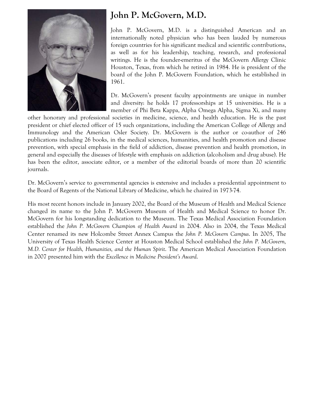

## **John P. McGovern, M.D.**

John P. McGovern, M.D. is a distinguished American and an internationally noted physician who has been lauded by numerous foreign countries for his significant medical and scientific contributions, as well as for his leadership, teaching, research, and professional writings. He is the founder-emeritus of the McGovern Allergy Clinic Houston, Texas, from which he retired in 1984. He is president of the board of the John P. McGovern Foundation, which he established in 1961.

Dr. McGovern's present faculty appointments are unique in number and diversity: he holds 17 professorships at 15 universities. He is a member of Phi Beta Kappa, Alpha Omega Alpha, Sigma Xi, and many

other honorary and professional societies in medicine, science, and health education. He is the past president or chief elected officer of 15 such organizations, including the American College of Allergy and Immunology and the American Osler Society. Dr. McGovern is the author or co-author of 246 publications including 26 books, in the medical sciences, humanities, and health promotion and disease prevention, with special emphasis in the field of addiction, disease prevention and health promotion, in general and especially the diseases of lifestyle with emphasis on addiction (alcoholism and drug abuse). He has been the editor, associate editor, or a member of the editorial boards of more than 20 scientific journals.

Dr. McGovern's service to governmental agencies is extensive and includes a presidential appointment to the Board of Regents of the National Library of Medicine, which he chaired in 1973-74.

His most recent honors include in January 2002, the Board of the Museum of Health and Medical Science changed its name to the John P. McGovern Museum of Health and Medical Science to honor Dr. McGovern for his longstanding dedication to the Museum. The Texas Medical Association Foundation established the *John P. McGovern Champion of Health Award* in 2004. Also in 2004, the Texas Medical Center renamed its new Holcombe Street Annex Campus the *John P. McGovern Campus*. In 2005, The University of Texas Health Science Center at Houston Medical School established the *John P. McGovern, M.D. Center for Health, Humanities, and the Human Spirit*. The American Medical Association Foundation in 2007 presented him with the *Excellence in Medicine President's Award*.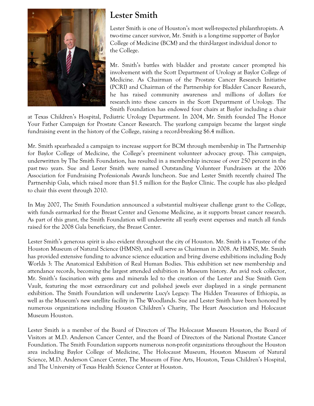

## **Lester Smith**

Lester Smith is one of Houston's most well-respected philanthropists. A two-time cancer survivor, Mr. Smith is a long-time supporter of Baylor College of Medicine (BCM) and the third-largest individual donor to the College.

Mr. Smith's battles with bladder and prostate cancer prompted his involvement with the Scott Department of Urology at Baylor College of Medicine. As Chairman of the Prostate Cancer Research Initiative (PCRI) and Chairman of the Partnership for Bladder Cancer Research, he has raised community awareness and millions of dollars for research into these cancers in the Scott Department of Urology. The Smith Foundation has endowed four chairs at Baylor including a chair

at Texas Children's Hospital, Pediatric Urology Department. In 2004, Mr. Smith founded The Honor Your Father Campaign for Prostate Cancer Research. The yearlong campaign became the largest single fundraising event in the history of the College, raising a record-breaking \$6.4 million.

Mr. Smith spearheaded a campaign to increase support for BCM through membership in The Partnership for Baylor College of Medicine, the College's preeminent volunteer advocacy group. This campaign, underwritten by The Smith Foundation, has resulted in a membership increase of over 250 percent in the past two years. Sue and Lester Smith were named Outstanding Volunteer Fundraisers at the 2006 Association for Fundraising Professionals Awards luncheon. Sue and Lester Smith recently chaired The Partnership Gala, which raised more than \$1.5 million for the Baylor Clinic. The couple has also pledged to chair this event through 2010.

In May 2007, The Smith Foundation announced a substantial multi-year challenge grant to the College, with funds earmarked for the Breast Center and Genome Medicine, as it supports breast cancer research. As part of this grant, the Smith Foundation will underwrite all yearly event expenses and match all funds raised for the 2008 Gala beneficiary, the Breast Center.

Lester Smith's generous spirit is also evident throughout the city of Houston. Mr. Smith is a Trustee of the Houston Museum of Natural Science (HMNS), and will serve as Chairman in 2008. At HMNS, Mr. Smith has provided extensive funding to advance science education and bring diverse exhibitions including Body Worlds 3: The Anatomical Exhibition of Real Human Bodies. This exhibition set new membership and attendance records, becoming the largest attended exhibition in Museum history. An avid rock collector, Mr. Smith's fascination with gems and minerals led to the creation of the Lester and Sue Smith Gem Vault, featuring the most extraordinary cut and polished jewels ever displayed in a single permanent exhibition. The Smith Foundation will underwrite Lucy's Legacy: The Hidden Treasures of Ethiopia, as well as the Museum's new satellite facility in The Woodlands. Sue and Lester Smith have been honored by numerous organizations including Houston Children's Charity, The Heart Association and Holocaust Museum Houston.

Lester Smith is a member of the Board of Directors of The Holocaust Museum Houston, the Board of Visitors at M.D. Anderson Cancer Center, and the Board of Directors of the National Prostate Cancer Foundation. The Smith Foundation supports numerous non-profit organizations throughout the Houston area including Baylor College of Medicine, The Holocaust Museum, Houston Museum of Natural Science, M.D. Anderson Cancer Center, The Museum of Fine Arts, Houston, Texas Children's Hospital, and The University of Texas Health Science Center at Houston.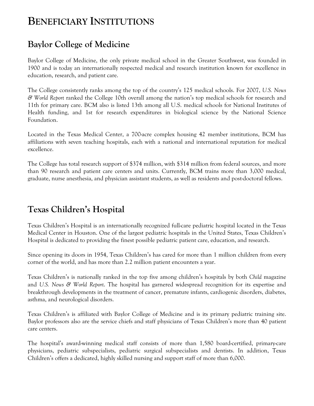# **BENEFICIARY INSTITUTIONS**

## **Baylor College of Medicine**

Baylor College of Medicine, the only private medical school in the Greater Southwest, was founded in 1900 and is today an internationally respected medical and research institution known for excellence in education, research, and patient care.

The College consistently ranks among the top of the country's 125 medical schools. For 2007, *U.S. News & World Report* ranked the College 10th overall among the nation's top medical schools for research and 11th for primary care. BCM also is listed 13th among all U.S. medical schools for National Institutes of Health funding, and 1st for research expenditures in biological science by the National Science Foundation.

Located in the Texas Medical Center, a 700-acre complex housing 42 member institutions, BCM has affiliations with seven teaching hospitals, each with a national and international reputation for medical excellence.

The College has total research support of \$374 million, with \$314 million from federal sources, and more than 90 research and patient care centers and units. Currently, BCM trains more than 3,000 medical, graduate, nurse anesthesia, and physician assistant students, as well as residents and post-doctoral fellows.

## **Texas Children's Hospital**

Texas Children's Hospital is an internationally recognized full-care pediatric hospital located in the Texas Medical Center in Houston. One of the largest pediatric hospitals in the United States, Texas Children's Hospital is dedicated to providing the finest possible pediatric patient care, education, and research.

Since opening its doors in 1954, Texas Children's has cared for more than 1 million children from every corner of the world, and has more than 2.2 million patient encounters a year.

Texas Children's is nationally ranked in the top five among children's hospitals by both *Child* magazine and *U.S. News & World Report*. The hospital has garnered widespread recognition for its expertise and breakthrough developments in the treatment of cancer, premature infants, cardiogenic disorders, diabetes, asthma, and neurological disorders.

Texas Children's is affiliated with Baylor College of Medicine and is its primary pediatric training site. Baylor professors also are the service chiefs and staff physicians of Texas Children's more than 40 patient care centers.

The hospital's award-winning medical staff consists of more than 1,580 board-certified, primary-care physicians, pediatric subspecialists, pediatric surgical subspecialists and dentists. In addition, Texas Children's offers a dedicated, highly skilled nursing and support staff of more than 6,000.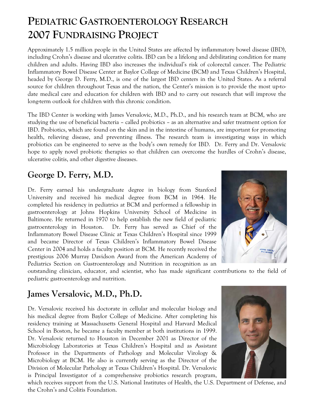# **PEDIATRIC GASTROENTEROLOGY RESEARCH 2007 FUNDRAISING PROJECT**

Approximately 1.5 million people in the United States are affected by inflammatory bowel disease (IBD), including Crohn's disease and ulcerative colitis. IBD can be a lifelong and debilitating condition for many children and adults. Having IBD also increases the individual's risk of colorectal cancer. The Pediatric Inflammatory Bowel Disease Center at Baylor College of Medicine (BCM) and Texas Children's Hospital, headed by George D. Ferry, M.D., is one of the largest IBD centers in the United States. As a referral source for children throughout Texas and the nation, the Center's mission is to provide the most up-todate medical care and education for children with IBD and to carry out research that will improve the long-term outlook for children with this chronic condition.

The IBD Center is working with James Versalovic, M.D., Ph.D., and his research team at BCM, who are studying the use of beneficial bacteria – called probiotics – as an alternative and safer treatment option for IBD. Probiotics, which are found on the skin and in the intestine of humans, are important for promoting health, relieving disease, and preventing illness. The research team is investigating ways in which probiotics can be engineered to serve as the body's own remedy for IBD. Dr. Ferry and Dr. Versalovic hope to apply novel probiotic therapies so that children can overcome the hurdles of Crohn's disease, ulcerative colitis, and other digestive diseases.

#### **George D. Ferry, M.D.**

Dr. Ferry earned his undergraduate degree in biology from Stanford University and received his medical degree from BCM in 1964. He completed his residency in pediatrics at BCM and performed a fellowship in gastroenterology at Johns Hopkins University School of Medicine in Baltimore. He returned in 1970 to help establish the new field of pediatric gastroenterology in Houston. Dr. Ferry has served as Chief of the Inflammatory Bowel Disease Clinic at Texas Children's Hospital since 1999 and became Director of Texas Children's Inflammatory Bowel Disease Center in 2004 and holds a faculty position at BCM. He recently received the prestigious 2006 Murray Davidson Award from the American Academy of Pediatrics Section on Gastroenterology and Nutrition in recognition as an



outstanding clinician, educator, and scientist, who has made significant contributions to the field of pediatric gastroenterology and nutrition.

## **James Versalovic, M.D., Ph.D.**

Dr. Versalovic received his doctorate in cellular and molecular biology and his medical degree from Baylor College of Medicine. After completing his residency training at Massachusetts General Hospital and Harvard Medical School in Boston, he became a faculty member at both institutions in 1999. Dr. Versalovic returned to Houston in December 2001 as Director of the Microbiology Laboratories at Texas Children's Hospital and as Assistant Professor in the Departments of Pathology and Molecular Virology & Microbiology at BCM. He also is currently serving as the Director of the Division of Molecular Pathology at Texas Children's Hospital. Dr. Versalovic is Principal Investigator of a comprehensive probiotics research program,



which receives support from the U.S. National Institutes of Health, the U.S. Department of Defense, and the Crohn's and Colitis Foundation.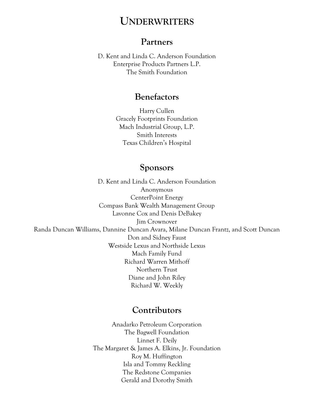## **UNDERWRITERS**

#### **Partners**

D. Kent and Linda C. Anderson Foundation Enterprise Products Partners L.P. The Smith Foundation

#### **Benefactors**

Harry Cullen Gracely Footprints Foundation Mach Industrial Group, L.P. Smith Interests Texas Children's Hospital

#### **Sponsors**

D. Kent and Linda C. Anderson Foundation Anonymous CenterPoint Energy Compass Bank Wealth Management Group Lavonne Cox and Denis DeBakey Jim Crownover Randa Duncan Williams, Dannine Duncan Avara, Milane Duncan Frantz, and Scott Duncan Don and Sidney Faust Westside Lexus and Northside Lexus Mach Family Fund Richard Warren Mithoff Northern Trust Diane and John Riley Richard W. Weekly

#### **Contributors**

Anadarko Petroleum Corporation The Bagwell Foundation Linnet F. Deily The Margaret & James A. Elkins, Jr. Foundation Roy M. Huffington Isla and Tommy Reckling The Redstone Companies Gerald and Dorothy Smith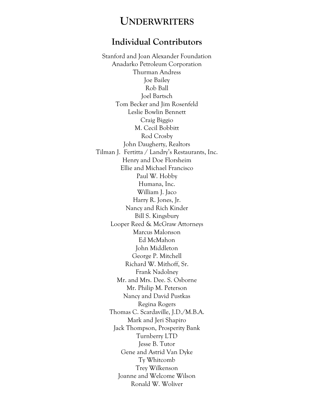#### **UNDERWRITERS**

#### **Individual Contributors**

Stanford and Joan Alexander Foundation Anadarko Petroleum Corporation Thurman Andress Joe Bailey Rob Ball Joel Bartsch Tom Becker and Jim Rosenfeld Leslie Bowlin Bennett Craig Biggio M. Cecil Bobbitt Rod Crosby John Daugherty, Realtors Tilman J. Fertitta / Landry's Restaurants, Inc. Henry and Doe Florsheim Ellie and Michael Francisco Paul W. Hobby Humana, Inc. William J. Jaco Harry R. Jones, Jr. Nancy and Rich Kinder Bill S. Kingsbury Looper Reed & McGraw Attorneys Marcus Malonson Ed McMahon John Middleton George P. Mitchell Richard W. Mithoff, Sr. Frank Nadolney Mr. and Mrs. Dee. S. Osborne Mr. Philip M. Peterson Nancy and David Pustkas Regina Rogers Thomas C. Scardaville, J.D./M.B.A. Mark and Jeri Shapiro Jack Thompson, Prosperity Bank Turnberry LTD Jesse B. Tutor Gene and Astrid Van Dyke Ty Whitcomb Trey Wilkenson Joanne and Welcome Wilson Ronald W. Woliver